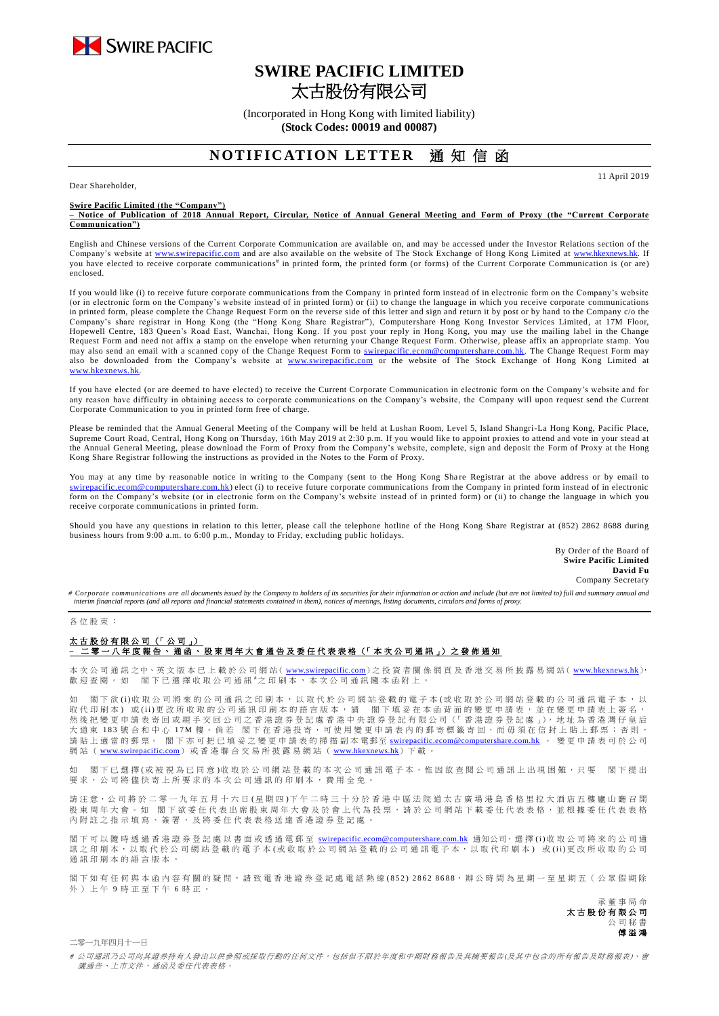

# **SWIRE PACIFIC LIMITED** 太古股份有限公司

(Incorporated in Hong Kong with limited liability) **(Stock Codes: 00019 and 00087)**

## **NOTIFICATION LETTER** 诵 知 信 函

Dear Shareholder,

**Swire Pacific Limited (the "Company")**

**– Notice of Publication of 2018 Annual Report, Circular, Notice of Annual General Meeting and Form of Proxy (the "Current Corporate Communication")**

English and Chinese versions of the Current Corporate Communication are available on, and may be accessed under the Investor Relations section of the Company's website at [www.swirepacific.com](http://www.swirepacific.com/) and are also available on the website of The Stock Exchange of Hong Kong Limited at [www.hkexnews.hk.](http://www.hkexnews.hk/) If you have elected to receive corporate communications<sup>#</sup> in printed form, the printed form (or forms) of the Current Corporate Communication is (or are) enclosed.

If you would like (i) to receive future corporate communications from the Company in printed form instead of in electronic form on the Company's website (or in electronic form on the Company's website instead of in printed form) or (ii) to change the language in which you receive corporate communications in printed form, please complete the Change Request Form on the reverse side of this letter and sign and return it by post or by hand to the Company c/o the Company's share registrar in Hong Kong (the "Hong Kong Share Registrar"), Computershare Hong Kong Investor Services Limited, at 17M Floor, Hopewell Centre, 183 Queen's Road East, Wanchai, Hong Kong. If you post your reply in Hong Kong, you may use the mailing label in the Change Request Form and need not affix a stamp on the envelope when returning your Change Request Form. Otherwise, please affix an appropriate stamp. You may also send an email with a scanned copy of the Change Request Form to *swirepacific.ecom@computershare.com.hk*. The Change Request Form may also be downloaded from the Company's website at [www.swirepacific.com](http://www.swirepacific.com/) or the website of The Stock Exchange of Hong Kong Limited at  $we$ <sub>hk</sub>

If you have elected (or are deemed to have elected) to receive the Current Corporate Communication in electronic form on the Company's website and for any reason have difficulty in obtaining access to corporate communications on the Company's website, the Company will upon request send the Current Corporate Communication to you in printed form free of charge.

Please be reminded that the Annual General Meeting of the Company will be held at Lushan Room, Level 5, Island Shangri-La Hong Kong, Pacific Place, Supreme Court Road, Central, Hong Kong on Thursday, 16th May 2019 at 2:30 p.m. If you would like to appoint proxies to attend and vote in your stead at the Annual General Meeting, please download the Form of Proxy from the Company's website, complete, sign and deposit the Form of Proxy at the Hong Kong Share Registrar following the instructions as provided in the Notes to the Form of Proxy.

You may at any time by reasonable notice in writing to the Company (sent to the Hong Kong Share Registrar at the above address or by email to tershare.com.hk) elect (i) to receive future corporate communications from the Company in printed form instead of in electronic form on the Company's website (or in electronic form on the Company's website instead of in printed form) or (ii) to change the language in which you receive corporate communications in printed form.

Should you have any questions in relation to this letter, please call the telephone hotline of the Hong Kong Share Registrar at (852) 2862 8688 during business hours from 9:00 a.m. to 6:00 p.m., Monday to Friday, excluding public holidays.

> By Order of the Board of **Swire Pacific Limited David Fu** Company Secretary

11 April 2019

*# Corporate communications are all documents issued by the Company to holders of its securities for their information or action and include (but are not limited to) full and summary annual and interim financial reports (and all reports and financial statements contained in them), notices of meetings, listing documents, circulars and forms of proxy.*

#### 各 位 股 東 :

### 太古股份有限公司 (「公司」) –<br>二零 一 八 年 度 報 告 丶 通 函 丶 股 東 周 年 大 會 通 告 及 委 任 代 表 表 格(「 本 次 公 司 通 訊 」)之 發 佈 通 知

本 次 公 司 通 訊 之中、英 文 版 本 已 上 載 於 公 司 網 站( [www.swirepacific.com](http://www.swirepacific.com/)) 之 投 資 者 關 係 網 頁 及 香 港 交 易 所 披 露 易 網 站( [www.hkexnews.hk](http://www.hkexnews.hk/)), 歡 迎 查 閱 。 如 閣 下 已 選 擇 收 取 公 司 通 訊 # 之 印 刷 本 , 本 次 公 司 通 訊 隨 本 函 附 上 。

如 閣下欲 (i)收 取 公 司將 來 的 公 司 通 訊 之 印 刷 本 , 以 取 代 於 公 司 網 的 看 子 本 (或 收 取 於 公 司 網 站 登 載 的 公 司 通 訊 電 子 本 , 以 取代印刷本)或(ii)更改所收取的公司通訊印刷本的語言版本,請 閣下填妥在本函背面的變更申請表,並在變更申請表上簽名, 然後把變更申請表寄回或親手交回公司之香港證券登記處香港中央證券登記有限公司(「香港證券登記處」), 地址為香港灣仔皇后 大 道 東 183 號 合 和 中 心 17M 樓。 倘 若 閣 下 在 香 港 投 寄 , 可 使 用 變 更 申 請 表 内 的 郵 寄 標 籤 寄 回 , 而 毋 須 在 信 封 上 貼 上 郵 票 ; 否 則 , 請 貼 上 適 當 的 郵 票。 閣下亦可把已填妥之變更申請表的掃描副本 電郵至 [swirepacific.ecom@computershare.com.hk](mailto:swirepacific.ecom@computershare.com.hk) 。 變 更 申請表可於 公 司 網站 ( [www.swirepacific.com](http://www.swirepacific.com/)) 或香港聯合交易所披露易網站 ( [www.hkexnews.hk](http://www.hkexnews.hk/)) 下載。

如 閣 下已 邏 擇( 或 被 視 為 已 同 音 )收 取 於 公 司 綑 站 登 載 的 本 次 引 诵 訊 雷 子 本 , 惟 因 故 杏 関 公 司 诵 訊 上 出 現 困 難 , 只 要 一 閣 下 提 出 要求, 公司將儘 快 寄 上 所 要 求 的 本 次 公 司 通 訊 的 印 刷 本 , 費 用 全 免 。

請注 意, 公 司 將 於 二 零 一 九 年 五 月 十 六 日 ( 星 期 四 )下 午 二 時 三 十 分 於 香 港 中 區 法 院 道 太 古 廣 場 港 島 香 格 里 拉 大 酒 店 五 樓 廬 山 廳 召 開 股 東 周 年 大 會 。 如 閣 下 欲 委 任 代 表 出 席 股 東 周 年 大 會 及 於 會 上 代 為 投 票 , 請 於 公 司 網 站 下 載 委 任 代 表 表 格 , 並 根 據 委 任 代 表 表 格 內附註之指示填寫、簽署,及將委任代表表格送達香港證券登記處

閣下可以 隨時 透 過 香 港 證 券 登 記 處 以 書 面 或 透 過 電 郵 至 [swirepacific.ecom@computershare.com.hk](mailto:swirepacific.ecom@computershare.com.hk) 通知公司, 選 擇 (i)收 取 公 司 將 來 的 公 司 通 訊之 印 刷 本, 以 取 代 於 公 司 網 站 登 載 的 電 子 本 ( 或 收 取 於 公 司 網 站 登 載 的 公 司 通 訊 電 子 本, 以 取 代 印 刷 本) 或 (ii) 更 改 所 收 取 的 公 司 通訊印刷本的語言版本

閣下如有任何與本函內容有關的疑問,請致電香港證券登記處電話熱線(852) 2862 8688,辦公時間為星期一至星期五(公眾假期除 外 ) 上 午 9 時 正 至 下 午 6 時正。

> 承董事 局 命 太古股份有限公司 公 司 秘 書 傅溢鴻

二零一九年四月十一日

# 公司通訊乃公司向其證券持有人發出以供參照或採取行動的任何文件,包括但不限於年度和中期財務報告及其摘要報告(及其中包含的所有報告及財務報表)、會 議通告、上市文件、通函及委任代表表格。